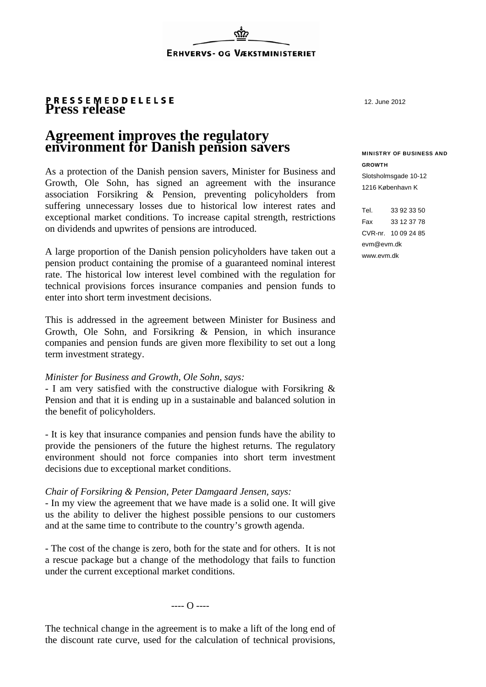# **Press release**

## **Agreement improves the regulatory environment for Danish pension savers**

As a protection of the Danish pension savers, Minister for Business and Growth, Ole Sohn, has signed an agreement with the insurance association Forsikring & Pension, preventing policyholders from suffering unnecessary losses due to historical low interest rates and exceptional market conditions. To increase capital strength, restrictions on dividends and upwrites of pensions are introduced.

A large proportion of the Danish pension policyholders have taken out a pension product containing the promise of a guaranteed nominal interest rate. The historical low interest level combined with the regulation for technical provisions forces insurance companies and pension funds to enter into short term investment decisions.

This is addressed in the agreement between Minister for Business and Growth, Ole Sohn, and Forsikring & Pension, in which insurance companies and pension funds are given more flexibility to set out a long term investment strategy.

#### *Minister for Business and Growth, Ole Sohn, says:*

- I am very satisfied with the constructive dialogue with Forsikring & Pension and that it is ending up in a sustainable and balanced solution in the benefit of policyholders.

- It is key that insurance companies and pension funds have the ability to provide the pensioners of the future the highest returns. The regulatory environment should not force companies into short term investment decisions due to exceptional market conditions.

### *Chair of Forsikring & Pension, Peter Damgaard Jensen, says:*

- In my view the agreement that we have made is a solid one. It will give us the ability to deliver the highest possible pensions to our customers and at the same time to contribute to the country's growth agenda.

- The cost of the change is zero, both for the state and for others. It is not a rescue package but a change of the methodology that fails to function under the current exceptional market conditions.

 $\overline{\Omega}$  ----

The technical change in the agreement is to make a lift of the long end of the discount rate curve, used for the calculation of technical provisions, 12. June 2012

#### MINISTRY OF BUSINESS AND GROWTH

Slotsholmsgade 10-12 1216 København K

Tel. 33 92 33 50 Fax 33 12 37 78 CVR-nr. 10 09 24 85 evm@evm.dk www.evm.dk